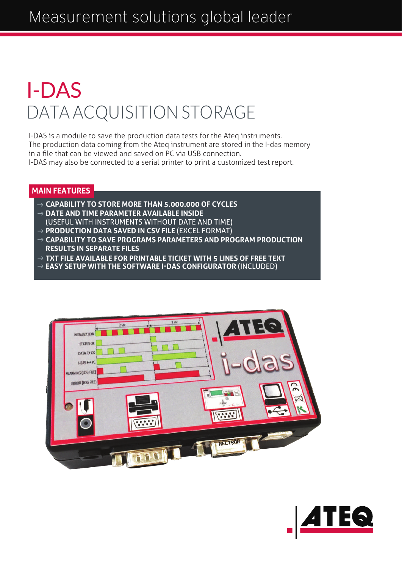## DATA ACQUISITION STORAGE I-DAS

I-DAS is a module to save the production data tests for the Ateq instruments. The production data coming from the Ateq instrument are stored in the I-das memory in a file that can be viewed and saved on PC via USB connection. I-DAS may also be connected to a serial printer to print a customized test report.

#### **MAIN FEATURES**

- **CAPABILITY TO STORE MORE THAN 5.000.000 OF CYCLES DATE AND TIME PARAMETER AVAILABLE INSIDE**
- (USEFUL WITH INSTRUMENTS WITHOUT DATE AND TIME)
- → **PRODUCTION DATA SAVED IN CSV FILE** (EXCEL FORMAT)
- **CAPABILITY TO SAVE PROGRAMS PARAMETERS AND PROGRAM PRODUCTION RESULTS IN SEPARATE FILES**
- **TXT FILE AVAILABLE FOR PRINTABLE TICKET WITH 5 LINES OF FREE TEXT**
- **EASY SETUP WITH THE SOFTWARE I-DAS CONFIGURATOR** (INCLUDED)